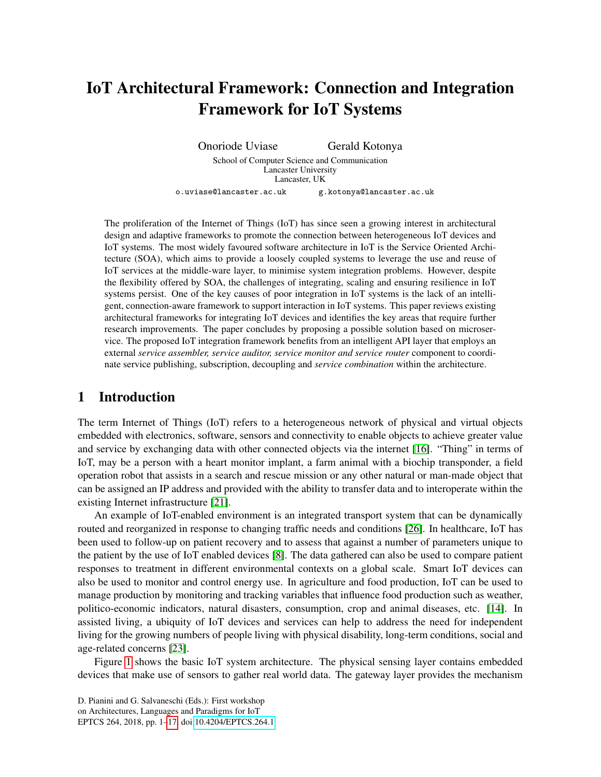# IoT Architectural Framework: Connection and Integration Framework for IoT Systems

Onoriode Uviase Gerald Kotonya School of Computer Science and Communication Lancaster University Lancaster, UK o.uviase@lancaster.ac.uk g.kotonya@lancaster.ac.uk

The proliferation of the Internet of Things (IoT) has since seen a growing interest in architectural design and adaptive frameworks to promote the connection between heterogeneous IoT devices and IoT systems. The most widely favoured software architecture in IoT is the Service Oriented Architecture (SOA), which aims to provide a loosely coupled systems to leverage the use and reuse of IoT services at the middle-ware layer, to minimise system integration problems. However, despite the flexibility offered by SOA, the challenges of integrating, scaling and ensuring resilience in IoT systems persist. One of the key causes of poor integration in IoT systems is the lack of an intelligent, connection-aware framework to support interaction in IoT systems. This paper reviews existing architectural frameworks for integrating IoT devices and identifies the key areas that require further research improvements. The paper concludes by proposing a possible solution based on microservice. The proposed IoT integration framework benefits from an intelligent API layer that employs an external *service assembler, service auditor, service monitor and service router* component to coordinate service publishing, subscription, decoupling and *service combination* within the architecture.

### 1 Introduction

The term Internet of Things (IoT) refers to a heterogeneous network of physical and virtual objects embedded with electronics, software, sensors and connectivity to enable objects to achieve greater value and service by exchanging data with other connected objects via the internet [\[16\]](#page-15-0). "Thing" in terms of IoT, may be a person with a heart monitor implant, a farm animal with a biochip transponder, a field operation robot that assists in a search and rescue mission or any other natural or man-made object that can be assigned an IP address and provided with the ability to transfer data and to interoperate within the existing Internet infrastructure [\[21\]](#page-15-1).

An example of IoT-enabled environment is an integrated transport system that can be dynamically routed and reorganized in response to changing traffic needs and conditions [\[26\]](#page-16-1). In healthcare, IoT has been used to follow-up on patient recovery and to assess that against a number of parameters unique to the patient by the use of IoT enabled devices [\[8\]](#page-15-2). The data gathered can also be used to compare patient responses to treatment in different environmental contexts on a global scale. Smart IoT devices can also be used to monitor and control energy use. In agriculture and food production, IoT can be used to manage production by monitoring and tracking variables that influence food production such as weather, politico-economic indicators, natural disasters, consumption, crop and animal diseases, etc. [\[14\]](#page-15-3). In assisted living, a ubiquity of IoT devices and services can help to address the need for independent living for the growing numbers of people living with physical disability, long-term conditions, social and age-related concerns [\[23\]](#page-15-4).

Figure [1](#page-1-0) shows the basic IoT system architecture. The physical sensing layer contains embedded devices that make use of sensors to gather real world data. The gateway layer provides the mechanism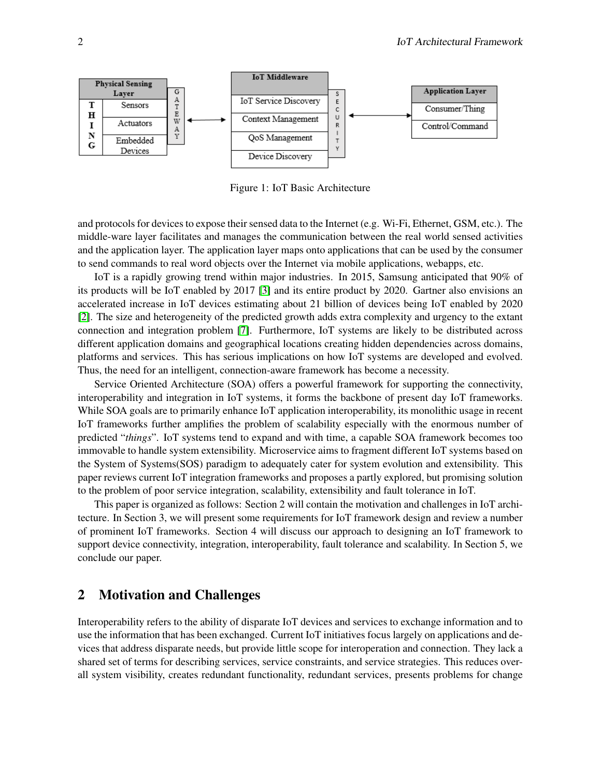<span id="page-1-0"></span>

Figure 1: IoT Basic Architecture

and protocols for devices to expose their sensed data to the Internet (e.g. Wi-Fi, Ethernet, GSM, etc.). The middle-ware layer facilitates and manages the communication between the real world sensed activities and the application layer. The application layer maps onto applications that can be used by the consumer to send commands to real word objects over the Internet via mobile applications, webapps, etc.

IoT is a rapidly growing trend within major industries. In 2015, Samsung anticipated that 90% of its products will be IoT enabled by 2017 [\[3\]](#page-14-0) and its entire product by 2020. Gartner also envisions an accelerated increase in IoT devices estimating about 21 billion of devices being IoT enabled by 2020 [\[2\]](#page-14-1). The size and heterogeneity of the predicted growth adds extra complexity and urgency to the extant connection and integration problem [\[7\]](#page-14-2). Furthermore, IoT systems are likely to be distributed across different application domains and geographical locations creating hidden dependencies across domains, platforms and services. This has serious implications on how IoT systems are developed and evolved. Thus, the need for an intelligent, connection-aware framework has become a necessity.

Service Oriented Architecture (SOA) offers a powerful framework for supporting the connectivity, interoperability and integration in IoT systems, it forms the backbone of present day IoT frameworks. While SOA goals are to primarily enhance IoT application interoperability, its monolithic usage in recent IoT frameworks further amplifies the problem of scalability especially with the enormous number of predicted "*things*". IoT systems tend to expand and with time, a capable SOA framework becomes too immovable to handle system extensibility. Microservice aims to fragment different IoT systems based on the System of Systems(SOS) paradigm to adequately cater for system evolution and extensibility. This paper reviews current IoT integration frameworks and proposes a partly explored, but promising solution to the problem of poor service integration, scalability, extensibility and fault tolerance in IoT.

This paper is organized as follows: Section 2 will contain the motivation and challenges in IoT architecture. In Section 3, we will present some requirements for IoT framework design and review a number of prominent IoT frameworks. Section 4 will discuss our approach to designing an IoT framework to support device connectivity, integration, interoperability, fault tolerance and scalability. In Section 5, we conclude our paper.

### 2 Motivation and Challenges

Interoperability refers to the ability of disparate IoT devices and services to exchange information and to use the information that has been exchanged. Current IoT initiatives focus largely on applications and devices that address disparate needs, but provide little scope for interoperation and connection. They lack a shared set of terms for describing services, service constraints, and service strategies. This reduces overall system visibility, creates redundant functionality, redundant services, presents problems for change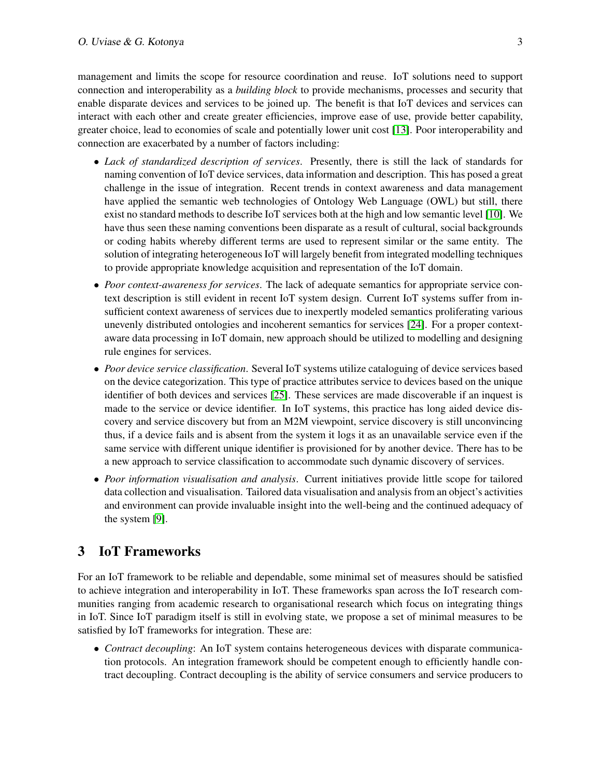management and limits the scope for resource coordination and reuse. IoT solutions need to support connection and interoperability as a *building block* to provide mechanisms, processes and security that enable disparate devices and services to be joined up. The benefit is that IoT devices and services can interact with each other and create greater efficiencies, improve ease of use, provide better capability, greater choice, lead to economies of scale and potentially lower unit cost [\[13\]](#page-15-5). Poor interoperability and connection are exacerbated by a number of factors including:

- *Lack of standardized description of services*. Presently, there is still the lack of standards for naming convention of IoT device services, data information and description. This has posed a great challenge in the issue of integration. Recent trends in context awareness and data management have applied the semantic web technologies of Ontology Web Language (OWL) but still, there exist no standard methods to describe IoT services both at the high and low semantic level [\[10\]](#page-15-6). We have thus seen these naming conventions been disparate as a result of cultural, social backgrounds or coding habits whereby different terms are used to represent similar or the same entity. The solution of integrating heterogeneous IoT will largely benefit from integrated modelling techniques to provide appropriate knowledge acquisition and representation of the IoT domain.
- *Poor context-awareness for services*. The lack of adequate semantics for appropriate service context description is still evident in recent IoT system design. Current IoT systems suffer from insufficient context awareness of services due to inexpertly modeled semantics proliferating various unevenly distributed ontologies and incoherent semantics for services [\[24\]](#page-15-7). For a proper contextaware data processing in IoT domain, new approach should be utilized to modelling and designing rule engines for services.
- *Poor device service classification*. Several IoT systems utilize cataloguing of device services based on the device categorization. This type of practice attributes service to devices based on the unique identifier of both devices and services [\[25\]](#page-16-2). These services are made discoverable if an inquest is made to the service or device identifier. In IoT systems, this practice has long aided device discovery and service discovery but from an M2M viewpoint, service discovery is still unconvincing thus, if a device fails and is absent from the system it logs it as an unavailable service even if the same service with different unique identifier is provisioned for by another device. There has to be a new approach to service classification to accommodate such dynamic discovery of services.
- *Poor information visualisation and analysis*. Current initiatives provide little scope for tailored data collection and visualisation. Tailored data visualisation and analysis from an object's activities and environment can provide invaluable insight into the well-being and the continued adequacy of the system [\[9\]](#page-15-8).

## 3 IoT Frameworks

For an IoT framework to be reliable and dependable, some minimal set of measures should be satisfied to achieve integration and interoperability in IoT. These frameworks span across the IoT research communities ranging from academic research to organisational research which focus on integrating things in IoT. Since IoT paradigm itself is still in evolving state, we propose a set of minimal measures to be satisfied by IoT frameworks for integration. These are:

• *Contract decoupling*: An IoT system contains heterogeneous devices with disparate communication protocols. An integration framework should be competent enough to efficiently handle contract decoupling. Contract decoupling is the ability of service consumers and service producers to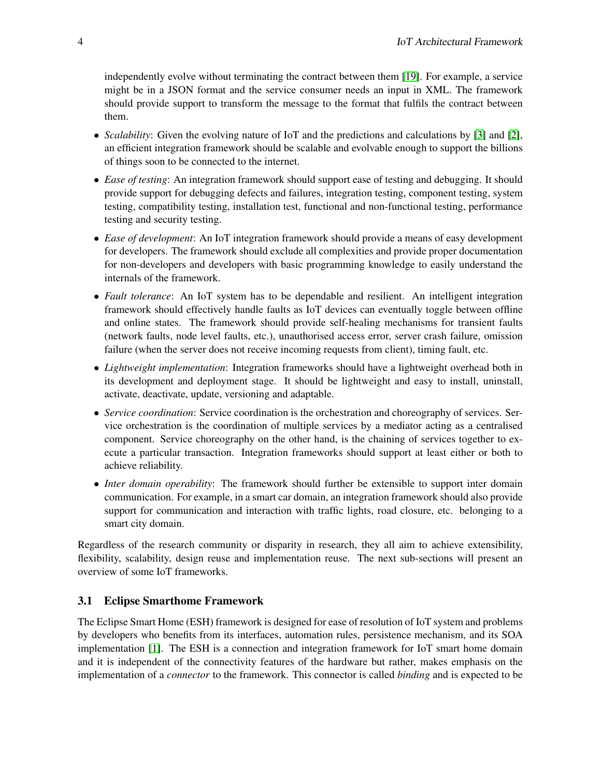independently evolve without terminating the contract between them [\[19\]](#page-15-9). For example, a service might be in a JSON format and the service consumer needs an input in XML. The framework should provide support to transform the message to the format that fulfils the contract between them.

- *Scalability*: Given the evolving nature of IoT and the predictions and calculations by [\[3\]](#page-14-0) and [\[2\]](#page-14-1), an efficient integration framework should be scalable and evolvable enough to support the billions of things soon to be connected to the internet.
- *Ease of testing*: An integration framework should support ease of testing and debugging. It should provide support for debugging defects and failures, integration testing, component testing, system testing, compatibility testing, installation test, functional and non-functional testing, performance testing and security testing.
- *Ease of development*: An IoT integration framework should provide a means of easy development for developers. The framework should exclude all complexities and provide proper documentation for non-developers and developers with basic programming knowledge to easily understand the internals of the framework.
- *Fault tolerance*: An IoT system has to be dependable and resilient. An intelligent integration framework should effectively handle faults as IoT devices can eventually toggle between offline and online states. The framework should provide self-healing mechanisms for transient faults (network faults, node level faults, etc.), unauthorised access error, server crash failure, omission failure (when the server does not receive incoming requests from client), timing fault, etc.
- *Lightweight implementation*: Integration frameworks should have a lightweight overhead both in its development and deployment stage. It should be lightweight and easy to install, uninstall, activate, deactivate, update, versioning and adaptable.
- *Service coordination*: Service coordination is the orchestration and choreography of services. Service orchestration is the coordination of multiple services by a mediator acting as a centralised component. Service choreography on the other hand, is the chaining of services together to execute a particular transaction. Integration frameworks should support at least either or both to achieve reliability.
- *Inter domain operability*: The framework should further be extensible to support inter domain communication. For example, in a smart car domain, an integration framework should also provide support for communication and interaction with traffic lights, road closure, etc. belonging to a smart city domain.

Regardless of the research community or disparity in research, they all aim to achieve extensibility, flexibility, scalability, design reuse and implementation reuse. The next sub-sections will present an overview of some IoT frameworks.

### 3.1 Eclipse Smarthome Framework

The Eclipse Smart Home (ESH) framework is designed for ease of resolution of IoT system and problems by developers who benefits from its interfaces, automation rules, persistence mechanism, and its SOA implementation [\[1\]](#page-14-3). The ESH is a connection and integration framework for IoT smart home domain and it is independent of the connectivity features of the hardware but rather, makes emphasis on the implementation of a *connector* to the framework. This connector is called *binding* and is expected to be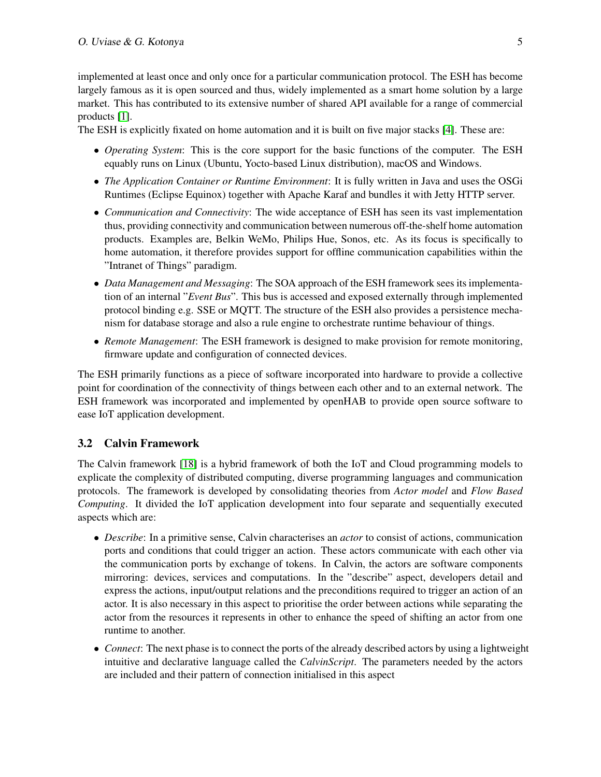implemented at least once and only once for a particular communication protocol. The ESH has become largely famous as it is open sourced and thus, widely implemented as a smart home solution by a large market. This has contributed to its extensive number of shared API available for a range of commercial products [\[1\]](#page-14-3).

The ESH is explicitly fixated on home automation and it is built on five major stacks [\[4\]](#page-14-4). These are:

- *Operating System*: This is the core support for the basic functions of the computer. The ESH equably runs on Linux (Ubuntu, Yocto-based Linux distribution), macOS and Windows.
- *The Application Container or Runtime Environment*: It is fully written in Java and uses the OSGi Runtimes (Eclipse Equinox) together with Apache Karaf and bundles it with Jetty HTTP server.
- *Communication and Connectivity*: The wide acceptance of ESH has seen its vast implementation thus, providing connectivity and communication between numerous off-the-shelf home automation products. Examples are, Belkin WeMo, Philips Hue, Sonos, etc. As its focus is specifically to home automation, it therefore provides support for offline communication capabilities within the "Intranet of Things" paradigm.
- *Data Management and Messaging*: The SOA approach of the ESH framework sees its implementation of an internal "*Event Bus*". This bus is accessed and exposed externally through implemented protocol binding e.g. SSE or MQTT. The structure of the ESH also provides a persistence mechanism for database storage and also a rule engine to orchestrate runtime behaviour of things.
- *Remote Management*: The ESH framework is designed to make provision for remote monitoring, firmware update and configuration of connected devices.

The ESH primarily functions as a piece of software incorporated into hardware to provide a collective point for coordination of the connectivity of things between each other and to an external network. The ESH framework was incorporated and implemented by openHAB to provide open source software to ease IoT application development.

### 3.2 Calvin Framework

The Calvin framework [\[18\]](#page-15-10) is a hybrid framework of both the IoT and Cloud programming models to explicate the complexity of distributed computing, diverse programming languages and communication protocols. The framework is developed by consolidating theories from *Actor model* and *Flow Based Computing*. It divided the IoT application development into four separate and sequentially executed aspects which are:

- *Describe*: In a primitive sense, Calvin characterises an *actor* to consist of actions, communication ports and conditions that could trigger an action. These actors communicate with each other via the communication ports by exchange of tokens. In Calvin, the actors are software components mirroring: devices, services and computations. In the "describe" aspect, developers detail and express the actions, input/output relations and the preconditions required to trigger an action of an actor. It is also necessary in this aspect to prioritise the order between actions while separating the actor from the resources it represents in other to enhance the speed of shifting an actor from one runtime to another.
- *Connect*: The next phase is to connect the ports of the already described actors by using a lightweight intuitive and declarative language called the *CalvinScript*. The parameters needed by the actors are included and their pattern of connection initialised in this aspect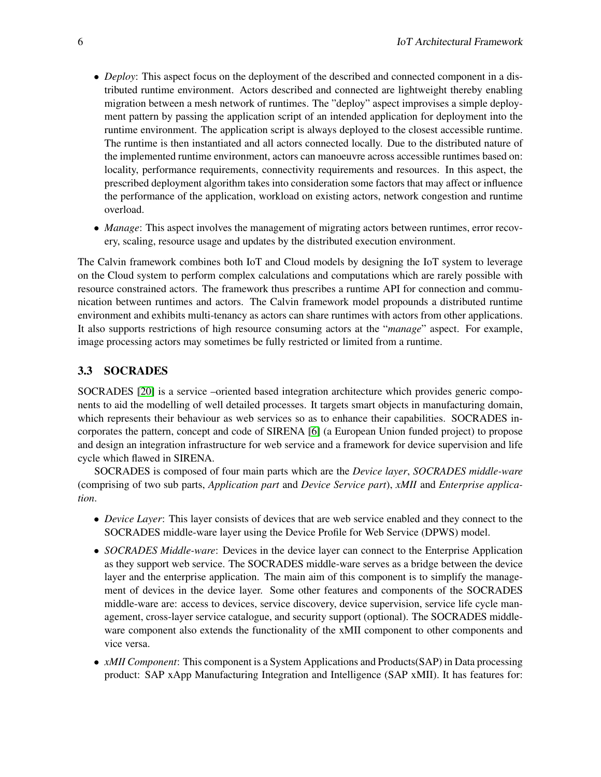- *Deploy*: This aspect focus on the deployment of the described and connected component in a distributed runtime environment. Actors described and connected are lightweight thereby enabling migration between a mesh network of runtimes. The "deploy" aspect improvises a simple deployment pattern by passing the application script of an intended application for deployment into the runtime environment. The application script is always deployed to the closest accessible runtime. The runtime is then instantiated and all actors connected locally. Due to the distributed nature of the implemented runtime environment, actors can manoeuvre across accessible runtimes based on: locality, performance requirements, connectivity requirements and resources. In this aspect, the prescribed deployment algorithm takes into consideration some factors that may affect or influence the performance of the application, workload on existing actors, network congestion and runtime overload.
- *Manage*: This aspect involves the management of migrating actors between runtimes, error recovery, scaling, resource usage and updates by the distributed execution environment.

The Calvin framework combines both IoT and Cloud models by designing the IoT system to leverage on the Cloud system to perform complex calculations and computations which are rarely possible with resource constrained actors. The framework thus prescribes a runtime API for connection and communication between runtimes and actors. The Calvin framework model propounds a distributed runtime environment and exhibits multi-tenancy as actors can share runtimes with actors from other applications. It also supports restrictions of high resource consuming actors at the "*manage*" aspect. For example, image processing actors may sometimes be fully restricted or limited from a runtime.

### 3.3 SOCRADES

SOCRADES [\[20\]](#page-15-11) is a service –oriented based integration architecture which provides generic components to aid the modelling of well detailed processes. It targets smart objects in manufacturing domain, which represents their behaviour as web services so as to enhance their capabilities. SOCRADES incorporates the pattern, concept and code of SIRENA [\[6\]](#page-14-5) (a European Union funded project) to propose and design an integration infrastructure for web service and a framework for device supervision and life cycle which flawed in SIRENA.

SOCRADES is composed of four main parts which are the *Device layer*, *SOCRADES middle-ware* (comprising of two sub parts, *Application part* and *Device Service part*), *xMII* and *Enterprise application*.

- *Device Layer*: This layer consists of devices that are web service enabled and they connect to the SOCRADES middle-ware layer using the Device Profile for Web Service (DPWS) model.
- *SOCRADES Middle-ware*: Devices in the device layer can connect to the Enterprise Application as they support web service. The SOCRADES middle-ware serves as a bridge between the device layer and the enterprise application. The main aim of this component is to simplify the management of devices in the device layer. Some other features and components of the SOCRADES middle-ware are: access to devices, service discovery, device supervision, service life cycle management, cross-layer service catalogue, and security support (optional). The SOCRADES middleware component also extends the functionality of the xMII component to other components and vice versa.
- *xMII Component*: This component is a System Applications and Products(SAP) in Data processing product: SAP xApp Manufacturing Integration and Intelligence (SAP xMII). It has features for: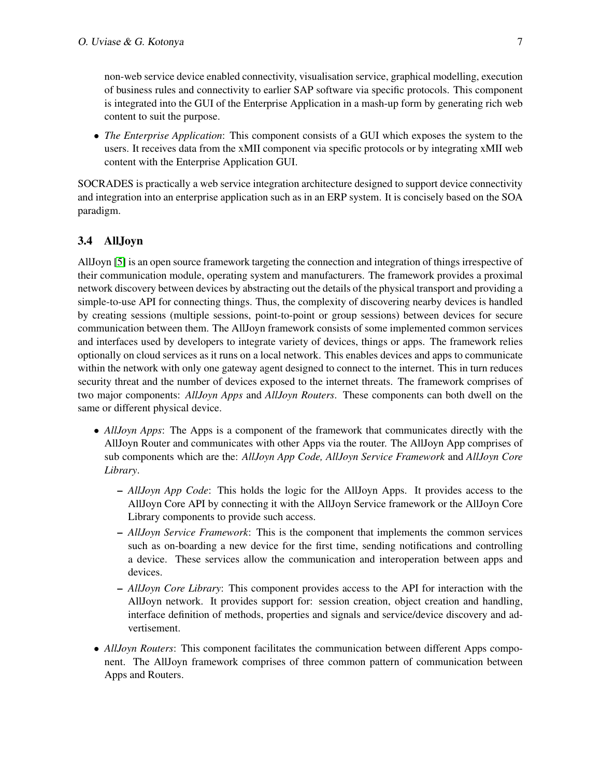non-web service device enabled connectivity, visualisation service, graphical modelling, execution of business rules and connectivity to earlier SAP software via specific protocols. This component is integrated into the GUI of the Enterprise Application in a mash-up form by generating rich web content to suit the purpose.

• *The Enterprise Application*: This component consists of a GUI which exposes the system to the users. It receives data from the xMII component via specific protocols or by integrating xMII web content with the Enterprise Application GUI.

SOCRADES is practically a web service integration architecture designed to support device connectivity and integration into an enterprise application such as in an ERP system. It is concisely based on the SOA paradigm.

### 3.4 AllJoyn

AllJoyn [\[5\]](#page-14-6) is an open source framework targeting the connection and integration of things irrespective of their communication module, operating system and manufacturers. The framework provides a proximal network discovery between devices by abstracting out the details of the physical transport and providing a simple-to-use API for connecting things. Thus, the complexity of discovering nearby devices is handled by creating sessions (multiple sessions, point-to-point or group sessions) between devices for secure communication between them. The AllJoyn framework consists of some implemented common services and interfaces used by developers to integrate variety of devices, things or apps. The framework relies optionally on cloud services as it runs on a local network. This enables devices and apps to communicate within the network with only one gateway agent designed to connect to the internet. This in turn reduces security threat and the number of devices exposed to the internet threats. The framework comprises of two major components: *AllJoyn Apps* and *AllJoyn Routers*. These components can both dwell on the same or different physical device.

- *AllJoyn Apps*: The Apps is a component of the framework that communicates directly with the AllJoyn Router and communicates with other Apps via the router. The AllJoyn App comprises of sub components which are the: *AllJoyn App Code, AllJoyn Service Framework* and *AllJoyn Core Library*.
	- *AllJoyn App Code*: This holds the logic for the AllJoyn Apps. It provides access to the AllJoyn Core API by connecting it with the AllJoyn Service framework or the AllJoyn Core Library components to provide such access.
	- *AllJoyn Service Framework*: This is the component that implements the common services such as on-boarding a new device for the first time, sending notifications and controlling a device. These services allow the communication and interoperation between apps and devices.
	- *AllJoyn Core Library*: This component provides access to the API for interaction with the AllJoyn network. It provides support for: session creation, object creation and handling, interface definition of methods, properties and signals and service/device discovery and advertisement.
- *AllJoyn Routers*: This component facilitates the communication between different Apps component. The AllJoyn framework comprises of three common pattern of communication between Apps and Routers.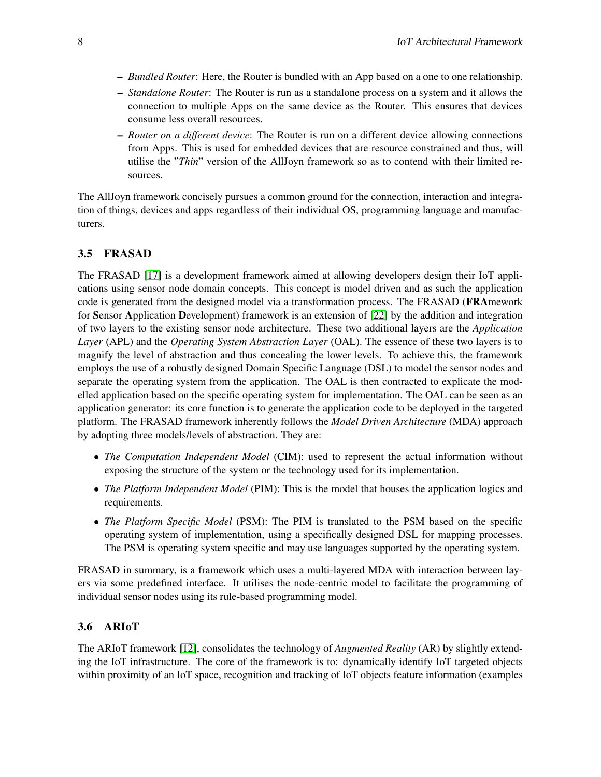- *Bundled Router*: Here, the Router is bundled with an App based on a one to one relationship.
- *Standalone Router*: The Router is run as a standalone process on a system and it allows the connection to multiple Apps on the same device as the Router. This ensures that devices consume less overall resources.
- *Router on a different device*: The Router is run on a different device allowing connections from Apps. This is used for embedded devices that are resource constrained and thus, will utilise the "*Thin*" version of the AllJoyn framework so as to contend with their limited resources.

The AllJoyn framework concisely pursues a common ground for the connection, interaction and integration of things, devices and apps regardless of their individual OS, programming language and manufacturers.

### 3.5 FRASAD

The FRASAD [\[17\]](#page-15-12) is a development framework aimed at allowing developers design their IoT applications using sensor node domain concepts. This concept is model driven and as such the application code is generated from the designed model via a transformation process. The FRASAD (FRAmework for Sensor Application Development) framework is an extension of [\[22\]](#page-15-13) by the addition and integration of two layers to the existing sensor node architecture. These two additional layers are the *Application Layer* (APL) and the *Operating System Abstraction Layer* (OAL). The essence of these two layers is to magnify the level of abstraction and thus concealing the lower levels. To achieve this, the framework employs the use of a robustly designed Domain Specific Language (DSL) to model the sensor nodes and separate the operating system from the application. The OAL is then contracted to explicate the modelled application based on the specific operating system for implementation. The OAL can be seen as an application generator: its core function is to generate the application code to be deployed in the targeted platform. The FRASAD framework inherently follows the *Model Driven Architecture* (MDA) approach by adopting three models/levels of abstraction. They are:

- *The Computation Independent Model* (CIM): used to represent the actual information without exposing the structure of the system or the technology used for its implementation.
- *The Platform Independent Model* (PIM): This is the model that houses the application logics and requirements.
- *The Platform Specific Model* (PSM): The PIM is translated to the PSM based on the specific operating system of implementation, using a specifically designed DSL for mapping processes. The PSM is operating system specific and may use languages supported by the operating system.

FRASAD in summary, is a framework which uses a multi-layered MDA with interaction between layers via some predefined interface. It utilises the node-centric model to facilitate the programming of individual sensor nodes using its rule-based programming model.

### 3.6 ARIoT

The ARIoT framework [\[12\]](#page-15-14), consolidates the technology of *Augmented Reality* (AR) by slightly extending the IoT infrastructure. The core of the framework is to: dynamically identify IoT targeted objects within proximity of an IoT space, recognition and tracking of IoT objects feature information (examples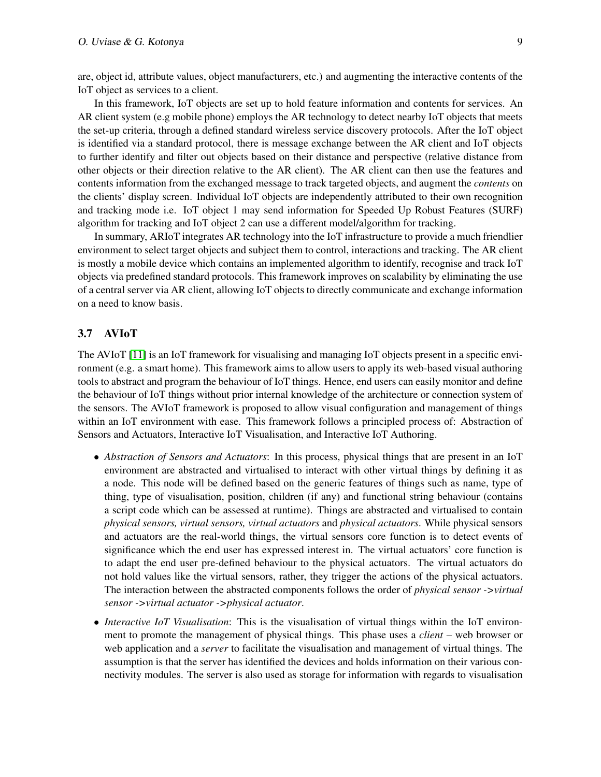are, object id, attribute values, object manufacturers, etc.) and augmenting the interactive contents of the IoT object as services to a client.

In this framework, IoT objects are set up to hold feature information and contents for services. An AR client system (e.g mobile phone) employs the AR technology to detect nearby IoT objects that meets the set-up criteria, through a defined standard wireless service discovery protocols. After the IoT object is identified via a standard protocol, there is message exchange between the AR client and IoT objects to further identify and filter out objects based on their distance and perspective (relative distance from other objects or their direction relative to the AR client). The AR client can then use the features and contents information from the exchanged message to track targeted objects, and augment the *contents* on the clients' display screen. Individual IoT objects are independently attributed to their own recognition and tracking mode i.e. IoT object 1 may send information for Speeded Up Robust Features (SURF) algorithm for tracking and IoT object 2 can use a different model/algorithm for tracking.

In summary, ARIoT integrates AR technology into the IoT infrastructure to provide a much friendlier environment to select target objects and subject them to control, interactions and tracking. The AR client is mostly a mobile device which contains an implemented algorithm to identify, recognise and track IoT objects via predefined standard protocols. This framework improves on scalability by eliminating the use of a central server via AR client, allowing IoT objects to directly communicate and exchange information on a need to know basis.

#### 3.7 AVIoT

The AVIoT [\[11\]](#page-15-15) is an IoT framework for visualising and managing IoT objects present in a specific environment (e.g. a smart home). This framework aims to allow users to apply its web-based visual authoring tools to abstract and program the behaviour of IoT things. Hence, end users can easily monitor and define the behaviour of IoT things without prior internal knowledge of the architecture or connection system of the sensors. The AVIoT framework is proposed to allow visual configuration and management of things within an IoT environment with ease. This framework follows a principled process of: Abstraction of Sensors and Actuators, Interactive IoT Visualisation, and Interactive IoT Authoring.

- *Abstraction of Sensors and Actuators*: In this process, physical things that are present in an IoT environment are abstracted and virtualised to interact with other virtual things by defining it as a node. This node will be defined based on the generic features of things such as name, type of thing, type of visualisation, position, children (if any) and functional string behaviour (contains a script code which can be assessed at runtime). Things are abstracted and virtualised to contain *physical sensors, virtual sensors, virtual actuators* and *physical actuators*. While physical sensors and actuators are the real-world things, the virtual sensors core function is to detect events of significance which the end user has expressed interest in. The virtual actuators' core function is to adapt the end user pre-defined behaviour to the physical actuators. The virtual actuators do not hold values like the virtual sensors, rather, they trigger the actions of the physical actuators. The interaction between the abstracted components follows the order of *physical sensor ->virtual sensor ->virtual actuator ->physical actuator*.
- *Interactive IoT Visualisation*: This is the visualisation of virtual things within the IoT environment to promote the management of physical things. This phase uses a *client* – web browser or web application and a *server* to facilitate the visualisation and management of virtual things. The assumption is that the server has identified the devices and holds information on their various connectivity modules. The server is also used as storage for information with regards to visualisation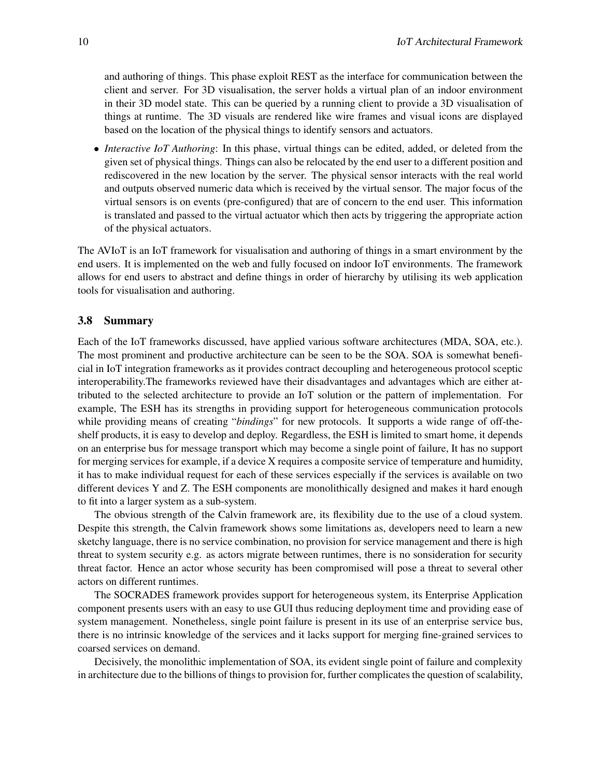and authoring of things. This phase exploit REST as the interface for communication between the client and server. For 3D visualisation, the server holds a virtual plan of an indoor environment in their 3D model state. This can be queried by a running client to provide a 3D visualisation of things at runtime. The 3D visuals are rendered like wire frames and visual icons are displayed based on the location of the physical things to identify sensors and actuators.

• *Interactive IoT Authoring*: In this phase, virtual things can be edited, added, or deleted from the given set of physical things. Things can also be relocated by the end user to a different position and rediscovered in the new location by the server. The physical sensor interacts with the real world and outputs observed numeric data which is received by the virtual sensor. The major focus of the virtual sensors is on events (pre-configured) that are of concern to the end user. This information is translated and passed to the virtual actuator which then acts by triggering the appropriate action of the physical actuators.

The AVIoT is an IoT framework for visualisation and authoring of things in a smart environment by the end users. It is implemented on the web and fully focused on indoor IoT environments. The framework allows for end users to abstract and define things in order of hierarchy by utilising its web application tools for visualisation and authoring.

#### 3.8 Summary

Each of the IoT frameworks discussed, have applied various software architectures (MDA, SOA, etc.). The most prominent and productive architecture can be seen to be the SOA. SOA is somewhat beneficial in IoT integration frameworks as it provides contract decoupling and heterogeneous protocol sceptic interoperability.The frameworks reviewed have their disadvantages and advantages which are either attributed to the selected architecture to provide an IoT solution or the pattern of implementation. For example, The ESH has its strengths in providing support for heterogeneous communication protocols while providing means of creating "*bindings*" for new protocols. It supports a wide range of off-theshelf products, it is easy to develop and deploy. Regardless, the ESH is limited to smart home, it depends on an enterprise bus for message transport which may become a single point of failure, It has no support for merging services for example, if a device X requires a composite service of temperature and humidity, it has to make individual request for each of these services especially if the services is available on two different devices Y and Z. The ESH components are monolithically designed and makes it hard enough to fit into a larger system as a sub-system.

The obvious strength of the Calvin framework are, its flexibility due to the use of a cloud system. Despite this strength, the Calvin framework shows some limitations as, developers need to learn a new sketchy language, there is no service combination, no provision for service management and there is high threat to system security e.g. as actors migrate between runtimes, there is no sonsideration for security threat factor. Hence an actor whose security has been compromised will pose a threat to several other actors on different runtimes.

The SOCRADES framework provides support for heterogeneous system, its Enterprise Application component presents users with an easy to use GUI thus reducing deployment time and providing ease of system management. Nonetheless, single point failure is present in its use of an enterprise service bus, there is no intrinsic knowledge of the services and it lacks support for merging fine-grained services to coarsed services on demand.

Decisively, the monolithic implementation of SOA, its evident single point of failure and complexity in architecture due to the billions of things to provision for, further complicates the question of scalability,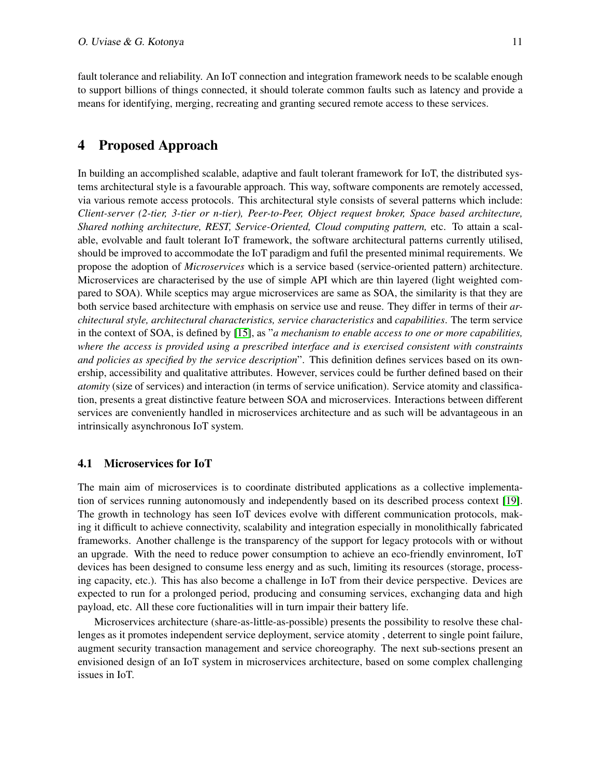fault tolerance and reliability. An IoT connection and integration framework needs to be scalable enough to support billions of things connected, it should tolerate common faults such as latency and provide a means for identifying, merging, recreating and granting secured remote access to these services.

### 4 Proposed Approach

In building an accomplished scalable, adaptive and fault tolerant framework for IoT, the distributed systems architectural style is a favourable approach. This way, software components are remotely accessed, via various remote access protocols. This architectural style consists of several patterns which include: *Client-server (2-tier, 3-tier or n-tier), Peer-to-Peer, Object request broker, Space based architecture, Shared nothing architecture, REST, Service-Oriented, Cloud computing pattern,* etc. To attain a scalable, evolvable and fault tolerant IoT framework, the software architectural patterns currently utilised, should be improved to accommodate the IoT paradigm and fufil the presented minimal requirements. We propose the adoption of *Microservices* which is a service based (service-oriented pattern) architecture. Microservices are characterised by the use of simple API which are thin layered (light weighted compared to SOA). While sceptics may argue microservices are same as SOA, the similarity is that they are both service based architecture with emphasis on service use and reuse. They differ in terms of their *architectural style, architectural characteristics, service characteristics* and *capabilities*. The term service in the context of SOA, is defined by [\[15\]](#page-15-16), as "*a mechanism to enable access to one or more capabilities, where the access is provided using a prescribed interface and is exercised consistent with constraints and policies as specified by the service description*". This definition defines services based on its ownership, accessibility and qualitative attributes. However, services could be further defined based on their *atomity* (size of services) and interaction (in terms of service unification). Service atomity and classification, presents a great distinctive feature between SOA and microservices. Interactions between different services are conveniently handled in microservices architecture and as such will be advantageous in an intrinsically asynchronous IoT system.

#### 4.1 Microservices for IoT

The main aim of microservices is to coordinate distributed applications as a collective implementation of services running autonomously and independently based on its described process context [\[19\]](#page-15-9). The growth in technology has seen IoT devices evolve with different communication protocols, making it difficult to achieve connectivity, scalability and integration especially in monolithically fabricated frameworks. Another challenge is the transparency of the support for legacy protocols with or without an upgrade. With the need to reduce power consumption to achieve an eco-friendly envinroment, IoT devices has been designed to consume less energy and as such, limiting its resources (storage, processing capacity, etc.). This has also become a challenge in IoT from their device perspective. Devices are expected to run for a prolonged period, producing and consuming services, exchanging data and high payload, etc. All these core fuctionalities will in turn impair their battery life.

Microservices architecture (share-as-little-as-possible) presents the possibility to resolve these challenges as it promotes independent service deployment, service atomity , deterrent to single point failure, augment security transaction management and service choreography. The next sub-sections present an envisioned design of an IoT system in microservices architecture, based on some complex challenging issues in IoT.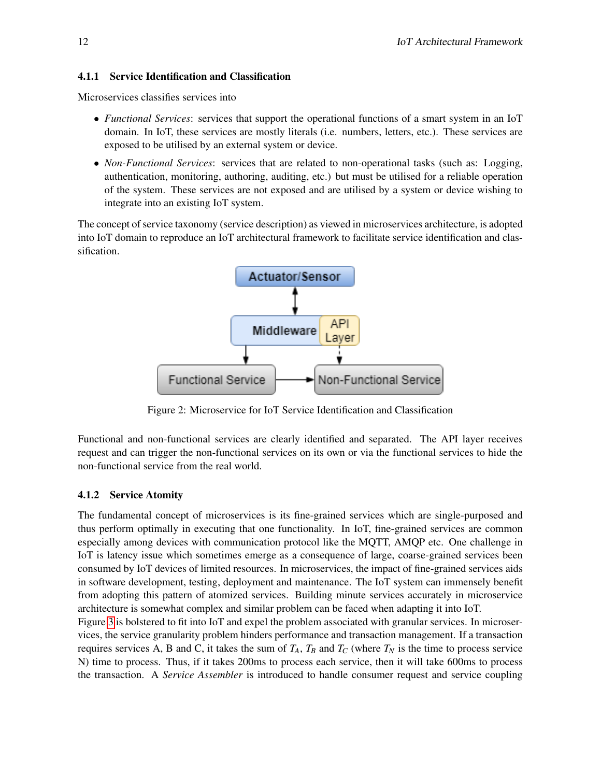#### 4.1.1 Service Identification and Classification

Microservices classifies services into

- *Functional Services*: services that support the operational functions of a smart system in an IoT domain. In IoT, these services are mostly literals (i.e. numbers, letters, etc.). These services are exposed to be utilised by an external system or device.
- *Non-Functional Services*: services that are related to non-operational tasks (such as: Logging, authentication, monitoring, authoring, auditing, etc.) but must be utilised for a reliable operation of the system. These services are not exposed and are utilised by a system or device wishing to integrate into an existing IoT system.

The concept of service taxonomy (service description) as viewed in microservices architecture, is adopted into IoT domain to reproduce an IoT architectural framework to facilitate service identification and classification.



Figure 2: Microservice for IoT Service Identification and Classification

Functional and non-functional services are clearly identified and separated. The API layer receives request and can trigger the non-functional services on its own or via the functional services to hide the non-functional service from the real world.

#### 4.1.2 Service Atomity

The fundamental concept of microservices is its fine-grained services which are single-purposed and thus perform optimally in executing that one functionality. In IoT, fine-grained services are common especially among devices with communication protocol like the MQTT, AMQP etc. One challenge in IoT is latency issue which sometimes emerge as a consequence of large, coarse-grained services been consumed by IoT devices of limited resources. In microservices, the impact of fine-grained services aids in software development, testing, deployment and maintenance. The IoT system can immensely benefit from adopting this pattern of atomized services. Building minute services accurately in microservice architecture is somewhat complex and similar problem can be faced when adapting it into IoT.

Figure [3](#page-12-0) is bolstered to fit into IoT and expel the problem associated with granular services. In microservices, the service granularity problem hinders performance and transaction management. If a transaction requires services A, B and C, it takes the sum of  $T_A$ ,  $T_B$  and  $T_C$  (where  $T_N$  is the time to process service N) time to process. Thus, if it takes 200ms to process each service, then it will take 600ms to process the transaction. A *Service Assembler* is introduced to handle consumer request and service coupling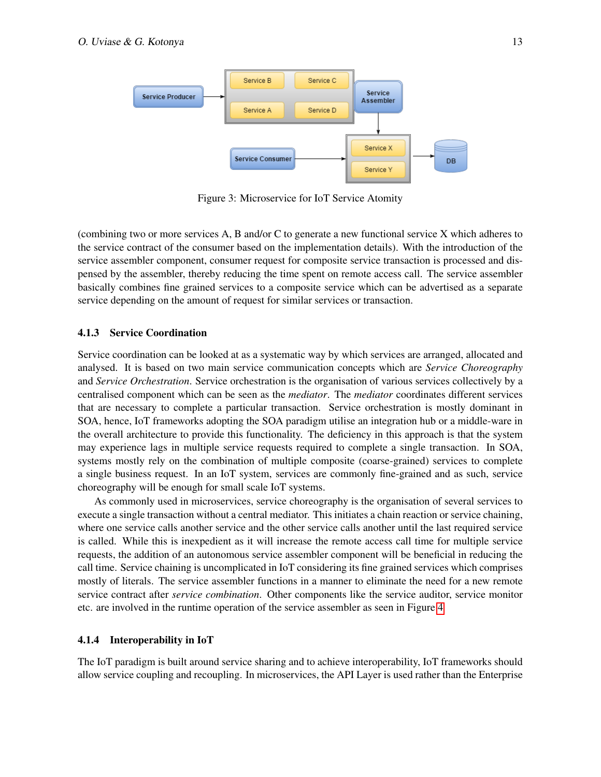<span id="page-12-0"></span>

Figure 3: Microservice for IoT Service Atomity

(combining two or more services A, B and/or C to generate a new functional service X which adheres to the service contract of the consumer based on the implementation details). With the introduction of the service assembler component, consumer request for composite service transaction is processed and dispensed by the assembler, thereby reducing the time spent on remote access call. The service assembler basically combines fine grained services to a composite service which can be advertised as a separate service depending on the amount of request for similar services or transaction.

#### 4.1.3 Service Coordination

Service coordination can be looked at as a systematic way by which services are arranged, allocated and analysed. It is based on two main service communication concepts which are *Service Choreography* and *Service Orchestration*. Service orchestration is the organisation of various services collectively by a centralised component which can be seen as the *mediator*. The *mediator* coordinates different services that are necessary to complete a particular transaction. Service orchestration is mostly dominant in SOA, hence, IoT frameworks adopting the SOA paradigm utilise an integration hub or a middle-ware in the overall architecture to provide this functionality. The deficiency in this approach is that the system may experience lags in multiple service requests required to complete a single transaction. In SOA, systems mostly rely on the combination of multiple composite (coarse-grained) services to complete a single business request. In an IoT system, services are commonly fine-grained and as such, service choreography will be enough for small scale IoT systems.

As commonly used in microservices, service choreography is the organisation of several services to execute a single transaction without a central mediator. This initiates a chain reaction or service chaining, where one service calls another service and the other service calls another until the last required service is called. While this is inexpedient as it will increase the remote access call time for multiple service requests, the addition of an autonomous service assembler component will be beneficial in reducing the call time. Service chaining is uncomplicated in IoT considering its fine grained services which comprises mostly of literals. The service assembler functions in a manner to eliminate the need for a new remote service contract after *service combination*. Other components like the service auditor, service monitor etc. are involved in the runtime operation of the service assembler as seen in Figure [4](#page-13-0)

#### 4.1.4 Interoperability in IoT

The IoT paradigm is built around service sharing and to achieve interoperability, IoT frameworks should allow service coupling and recoupling. In microservices, the API Layer is used rather than the Enterprise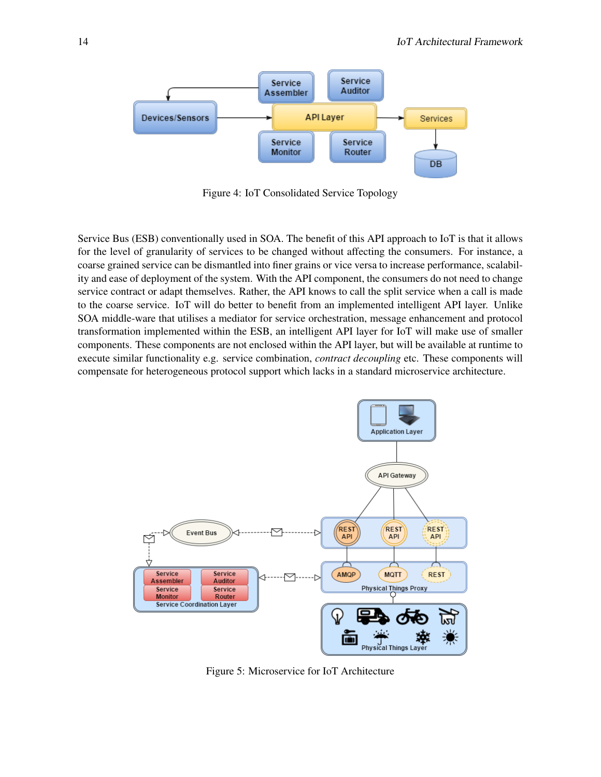<span id="page-13-0"></span>

Figure 4: IoT Consolidated Service Topology

Service Bus (ESB) conventionally used in SOA. The benefit of this API approach to IoT is that it allows for the level of granularity of services to be changed without affecting the consumers. For instance, a coarse grained service can be dismantled into finer grains or vice versa to increase performance, scalability and ease of deployment of the system. With the API component, the consumers do not need to change service contract or adapt themselves. Rather, the API knows to call the split service when a call is made to the coarse service. IoT will do better to benefit from an implemented intelligent API layer. Unlike SOA middle-ware that utilises a mediator for service orchestration, message enhancement and protocol transformation implemented within the ESB, an intelligent API layer for IoT will make use of smaller components. These components are not enclosed within the API layer, but will be available at runtime to execute similar functionality e.g. service combination, *contract decoupling* etc. These components will compensate for heterogeneous protocol support which lacks in a standard microservice architecture.

<span id="page-13-1"></span>

Figure 5: Microservice for IoT Architecture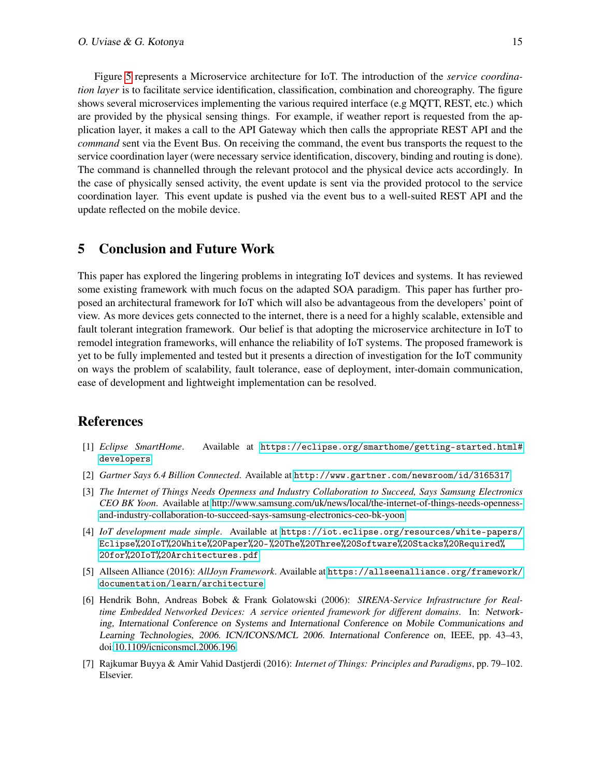Figure [5](#page-13-1) represents a Microservice architecture for IoT. The introduction of the *service coordination layer* is to facilitate service identification, classification, combination and choreography. The figure shows several microservices implementing the various required interface (e.g MQTT, REST, etc.) which are provided by the physical sensing things. For example, if weather report is requested from the application layer, it makes a call to the API Gateway which then calls the appropriate REST API and the *command* sent via the Event Bus. On receiving the command, the event bus transports the request to the service coordination layer (were necessary service identification, discovery, binding and routing is done). The command is channelled through the relevant protocol and the physical device acts accordingly. In the case of physically sensed activity, the event update is sent via the provided protocol to the service coordination layer. This event update is pushed via the event bus to a well-suited REST API and the update reflected on the mobile device.

### 5 Conclusion and Future Work

This paper has explored the lingering problems in integrating IoT devices and systems. It has reviewed some existing framework with much focus on the adapted SOA paradigm. This paper has further proposed an architectural framework for IoT which will also be advantageous from the developers' point of view. As more devices gets connected to the internet, there is a need for a highly scalable, extensible and fault tolerant integration framework. Our belief is that adopting the microservice architecture in IoT to remodel integration frameworks, will enhance the reliability of IoT systems. The proposed framework is yet to be fully implemented and tested but it presents a direction of investigation for the IoT community on ways the problem of scalability, fault tolerance, ease of deployment, inter-domain communication, ease of development and lightweight implementation can be resolved.

### References

- <span id="page-14-3"></span>[1] *Eclipse SmartHome*. Available at [https://eclipse.org/smarthome/getting-started.html#](https://eclipse.org/smarthome/getting-started.html#developers) [developers](https://eclipse.org/smarthome/getting-started.html#developers).
- <span id="page-14-1"></span>[2] *Gartner Says 6.4 Billion Connected*. Available at <http://www.gartner.com/newsroom/id/3165317>.
- <span id="page-14-0"></span>[3] *The Internet of Things Needs Openness and Industry Collaboration to Succeed, Says Samsung Electronics CEO BK Yoon*. Available at [http://www.samsung.com/uk/news/local/the-internet-of-things-needs-openness](http://www.samsung.com/uk/news/local/the-internet-of-things-needs-openness-and-industry-collaboration-to-succeed-says-samsung-electronics-ceo-bk-yoon)[and-industry-collaboration-to-succeed-says-samsung-electronics-ceo-bk-yoon.](http://www.samsung.com/uk/news/local/the-internet-of-things-needs-openness-and-industry-collaboration-to-succeed-says-samsung-electronics-ceo-bk-yoon)
- <span id="page-14-4"></span>[4] *IoT development made simple*. Available at [https://iot.eclipse.org/resources/white-papers/](https://iot.eclipse.org/resources/white-papers/Eclipse%20IoT%20White%20Paper%20-%20The%20Three%20Software%20Stacks%20Required%20for%20IoT%20Architectures.pdf) [Eclipse%20IoT%20White%20Paper%20-%20The%20Three%20Software%20Stacks%20Required%](https://iot.eclipse.org/resources/white-papers/Eclipse%20IoT%20White%20Paper%20-%20The%20Three%20Software%20Stacks%20Required%20for%20IoT%20Architectures.pdf) [20for%20IoT%20Architectures.pdf](https://iot.eclipse.org/resources/white-papers/Eclipse%20IoT%20White%20Paper%20-%20The%20Three%20Software%20Stacks%20Required%20for%20IoT%20Architectures.pdf).
- <span id="page-14-6"></span>[5] Allseen Alliance (2016): *AllJoyn Framework*. Available at [https://allseenalliance.org/framework/](https://allseenalliance.org/framework/documentation/learn/architecture) [documentation/learn/architecture](https://allseenalliance.org/framework/documentation/learn/architecture).
- <span id="page-14-5"></span>[6] Hendrik Bohn, Andreas Bobek & Frank Golatowski (2006): *SIRENA-Service Infrastructure for Realtime Embedded Networked Devices: A service oriented framework for different domains*. In: Networking, International Conference on Systems and International Conference on Mobile Communications and Learning Technologies, 2006. ICN/ICONS/MCL 2006. International Conference on, IEEE, pp. 43–43, doi[:10.1109/icniconsmcl.2006.196.](http://dx.doi.org/10.1109/icniconsmcl.2006.196)
- <span id="page-14-2"></span>[7] Rajkumar Buyya & Amir Vahid Dastjerdi (2016): *Internet of Things: Principles and Paradigms*, pp. 79–102. Elsevier.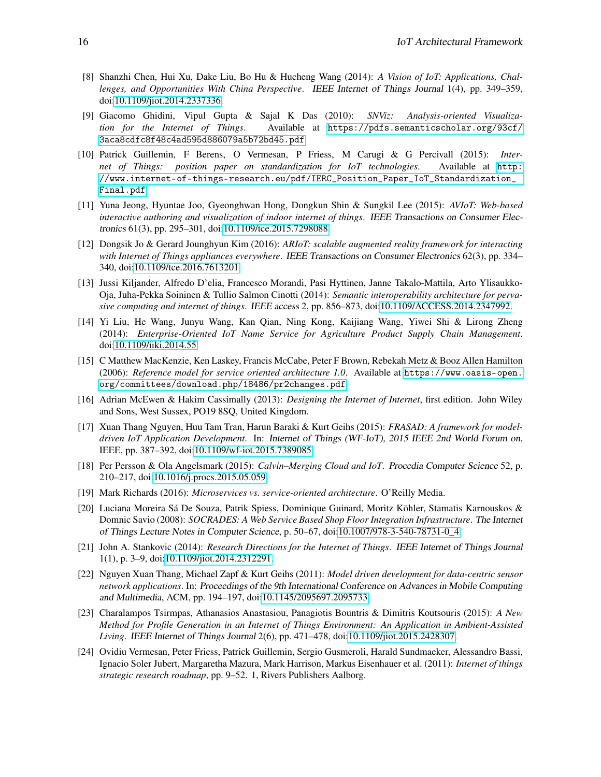- <span id="page-15-2"></span>[8] Shanzhi Chen, Hui Xu, Dake Liu, Bo Hu & Hucheng Wang (2014): *A Vision of IoT: Applications, Challenges, and Opportunities With China Perspective*. IEEE Internet of Things Journal 1(4), pp. 349–359, doi[:10.1109/jiot.2014.2337336.](http://dx.doi.org/10.1109/jiot.2014.2337336)
- <span id="page-15-8"></span>[9] Giacomo Ghidini, Vipul Gupta & Sajal K Das (2010): *SNViz: Analysis-oriented Visualization for the Internet of Things*. Available at [https://pdfs.semanticscholar.org/93cf/](https://pdfs.semanticscholar.org/93cf/3aca8cdfc8f48c4ad595d886079a5b72bd45.pdf) [3aca8cdfc8f48c4ad595d886079a5b72bd45.pdf](https://pdfs.semanticscholar.org/93cf/3aca8cdfc8f48c4ad595d886079a5b72bd45.pdf).
- <span id="page-15-6"></span>[10] Patrick Guillemin, F Berens, O Vermesan, P Friess, M Carugi & G Percivall (2015): *Internet of Things: position paper on standardization for IoT technologies*. Available at [http:](http://www.internet-of-things-research.eu/pdf/IERC_Position_Paper_IoT_Standardization_Final.pdf) [//www.internet-of-things-research.eu/pdf/IERC\\_Position\\_Paper\\_IoT\\_Standardization\\_](http://www.internet-of-things-research.eu/pdf/IERC_Position_Paper_IoT_Standardization_Final.pdf) [Final.pdf](http://www.internet-of-things-research.eu/pdf/IERC_Position_Paper_IoT_Standardization_Final.pdf).
- <span id="page-15-15"></span>[11] Yuna Jeong, Hyuntae Joo, Gyeonghwan Hong, Dongkun Shin & Sungkil Lee (2015): *AVIoT: Web-based interactive authoring and visualization of indoor internet of things*. IEEE Transactions on Consumer Electronics 61(3), pp. 295–301, doi[:10.1109/tce.2015.7298088.](http://dx.doi.org/10.1109/tce.2015.7298088)
- <span id="page-15-14"></span>[12] Dongsik Jo & Gerard Jounghyun Kim (2016): *ARIoT: scalable augmented reality framework for interacting with Internet of Things appliances everywhere*. IEEE Transactions on Consumer Electronics 62(3), pp. 334– 340, doi[:10.1109/tce.2016.7613201.](http://dx.doi.org/10.1109/tce.2016.7613201)
- <span id="page-15-5"></span>[13] Jussi Kiljander, Alfredo D'elia, Francesco Morandi, Pasi Hyttinen, Janne Takalo-Mattila, Arto Ylisaukko-Oja, Juha-Pekka Soininen & Tullio Salmon Cinotti (2014): *Semantic interoperability architecture for pervasive computing and internet of things*. IEEE access 2, pp. 856–873, doi[:10.1109/ACCESS.2014.2347992.](http://dx.doi.org/10.1109/ACCESS.2014.2347992)
- <span id="page-15-3"></span>[14] Yi Liu, He Wang, Junyu Wang, Kan Qian, Ning Kong, Kaijiang Wang, Yiwei Shi & Lirong Zheng (2014): *Enterprise-Oriented IoT Name Service for Agriculture Product Supply Chain Management*. doi[:10.1109/iiki.2014.55.](http://dx.doi.org/10.1109/iiki.2014.55)
- <span id="page-15-16"></span>[15] C Matthew MacKenzie, Ken Laskey, Francis McCabe, Peter F Brown, Rebekah Metz & Booz Allen Hamilton (2006): *Reference model for service oriented architecture 1.0*. Available at [https://www.oasis-open.](https://www.oasis-open.org/committees/download.php/18486/pr2changes.pdf) [org/committees/download.php/18486/pr2changes.pdf](https://www.oasis-open.org/committees/download.php/18486/pr2changes.pdf).
- <span id="page-15-0"></span>[16] Adrian McEwen & Hakim Cassimally (2013): *Designing the Internet of Internet*, first edition. John Wiley and Sons, West Sussex, PO19 8SQ, United Kingdom.
- <span id="page-15-12"></span>[17] Xuan Thang Nguyen, Huu Tam Tran, Harun Baraki & Kurt Geihs (2015): *FRASAD: A framework for modeldriven IoT Application Development*. In: Internet of Things (WF-IoT), 2015 IEEE 2nd World Forum on, IEEE, pp. 387–392, doi[:10.1109/wf-iot.2015.7389085.](http://dx.doi.org/10.1109/wf-iot.2015.7389085)
- <span id="page-15-10"></span>[18] Per Persson & Ola Angelsmark (2015): *Calvin–Merging Cloud and IoT*. Procedia Computer Science 52, p. 210–217, doi[:10.1016/j.procs.2015.05.059.](http://dx.doi.org/10.1016/j.procs.2015.05.059)
- <span id="page-15-9"></span>[19] Mark Richards (2016): *Microservices vs. service-oriented architecture*. O'Reilly Media.
- <span id="page-15-11"></span>[20] Luciana Moreira Sá De Souza, Patrik Spiess, Dominique Guinard, Moritz Köhler, Stamatis Karnouskos & Domnic Savio (2008): *SOCRADES: A Web Service Based Shop Floor Integration Infrastructure*. The Internet of Things Lecture Notes in Computer Science, p. 50–67, doi[:10.1007/978-3-540-78731-0\\_4.](http://dx.doi.org/10.1007/978-3-540-78731-0_4)
- <span id="page-15-1"></span>[21] John A. Stankovic (2014): *Research Directions for the Internet of Things*. IEEE Internet of Things Journal 1(1), p. 3–9, doi[:10.1109/jiot.2014.2312291.](http://dx.doi.org/10.1109/jiot.2014.2312291)
- <span id="page-15-13"></span>[22] Nguyen Xuan Thang, Michael Zapf & Kurt Geihs (2011): *Model driven development for data-centric sensor network applications*. In: Proceedings of the 9th International Conference on Advances in Mobile Computing and Multimedia, ACM, pp. 194–197, doi[:10.1145/2095697.2095733.](http://dx.doi.org/10.1145/2095697.2095733)
- <span id="page-15-4"></span>[23] Charalampos Tsirmpas, Athanasios Anastasiou, Panagiotis Bountris & Dimitris Koutsouris (2015): *A New Method for Profile Generation in an Internet of Things Environment: An Application in Ambient-Assisted Living*. IEEE Internet of Things Journal 2(6), pp. 471–478, doi[:10.1109/jiot.2015.2428307.](http://dx.doi.org/10.1109/jiot.2015.2428307)
- <span id="page-15-7"></span>[24] Ovidiu Vermesan, Peter Friess, Patrick Guillemin, Sergio Gusmeroli, Harald Sundmaeker, Alessandro Bassi, Ignacio Soler Jubert, Margaretha Mazura, Mark Harrison, Markus Eisenhauer et al. (2011): *Internet of things strategic research roadmap*, pp. 9–52. 1, Rivers Publishers Aalborg.